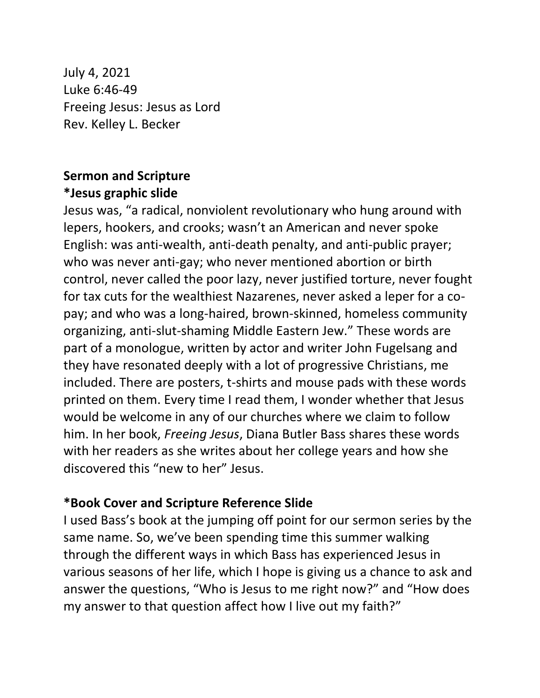July 4, 2021 Luke 6:46-49 Freeing Jesus: Jesus as Lord Rev. Kelley L. Becker

## **Sermon and Scripture \*Jesus graphic slide**

Jesus was, "a radical, nonviolent revolutionary who hung around with lepers, hookers, and crooks; wasn't an American and never spoke English: was anti-wealth, anti-death penalty, and anti-public prayer; who was never anti-gay; who never mentioned abortion or birth control, never called the poor lazy, never justified torture, never fought for tax cuts for the wealthiest Nazarenes, never asked a leper for a copay; and who was a long-haired, brown-skinned, homeless community organizing, anti-slut-shaming Middle Eastern Jew." These words are part of a monologue, written by actor and writer John Fugelsang and they have resonated deeply with a lot of progressive Christians, me included. There are posters, t-shirts and mouse pads with these words printed on them. Every time I read them, I wonder whether that Jesus would be welcome in any of our churches where we claim to follow him. In her book, *Freeing Jesus*, Diana Butler Bass shares these words with her readers as she writes about her college years and how she discovered this "new to her" Jesus.

### **\*Book Cover and Scripture Reference Slide**

I used Bass's book at the jumping off point for our sermon series by the same name. So, we've been spending time this summer walking through the different ways in which Bass has experienced Jesus in various seasons of her life, which I hope is giving us a chance to ask and answer the questions, "Who is Jesus to me right now?" and "How does my answer to that question affect how I live out my faith?"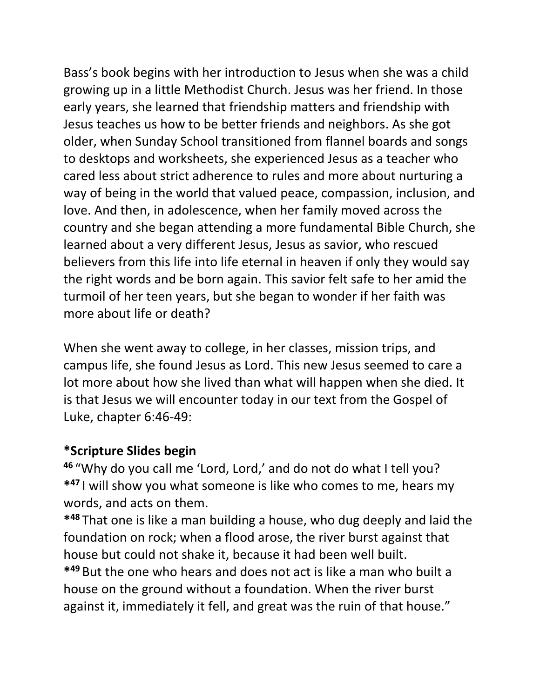Bass's book begins with her introduction to Jesus when she was a child growing up in a little Methodist Church. Jesus was her friend. In those early years, she learned that friendship matters and friendship with Jesus teaches us how to be better friends and neighbors. As she got older, when Sunday School transitioned from flannel boards and songs to desktops and worksheets, she experienced Jesus as a teacher who cared less about strict adherence to rules and more about nurturing a way of being in the world that valued peace, compassion, inclusion, and love. And then, in adolescence, when her family moved across the country and she began attending a more fundamental Bible Church, she learned about a very different Jesus, Jesus as savior, who rescued believers from this life into life eternal in heaven if only they would say the right words and be born again. This savior felt safe to her amid the turmoil of her teen years, but she began to wonder if her faith was more about life or death?

When she went away to college, in her classes, mission trips, and campus life, she found Jesus as Lord. This new Jesus seemed to care a lot more about how she lived than what will happen when she died. It is that Jesus we will encounter today in our text from the Gospel of Luke, chapter 6:46-49:

### **\*Scripture Slides begin**

**<sup>46</sup>** "Why do you call me 'Lord, Lord,' and do not do what I tell you? **\* <sup>47</sup>** I will show you what someone is like who comes to me, hears my words, and acts on them.

**\* <sup>48</sup>** That one is like a man building a house, who dug deeply and laid the foundation on rock; when a flood arose, the river burst against that house but could not shake it, because it had been well built. **\* <sup>49</sup>** But the one who hears and does not act is like a man who built a house on the ground without a foundation. When the river burst against it, immediately it fell, and great was the ruin of that house."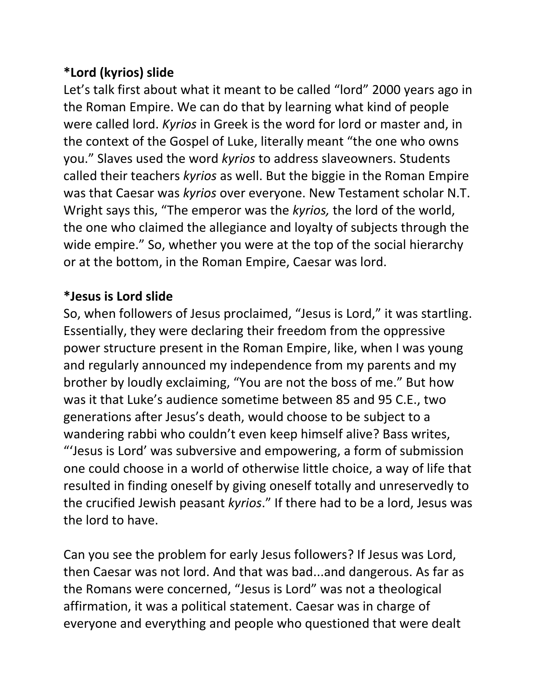# **\*Lord (kyrios) slide**

Let's talk first about what it meant to be called "lord" 2000 years ago in the Roman Empire. We can do that by learning what kind of people were called lord. *Kyrios* in Greek is the word for lord or master and, in the context of the Gospel of Luke, literally meant "the one who owns you." Slaves used the word *kyrios* to address slaveowners. Students called their teachers *kyrios* as well. But the biggie in the Roman Empire was that Caesar was *kyrios* over everyone. New Testament scholar N.T. Wright says this, "The emperor was the *kyrios,* the lord of the world, the one who claimed the allegiance and loyalty of subjects through the wide empire." So, whether you were at the top of the social hierarchy or at the bottom, in the Roman Empire, Caesar was lord.

# **\*Jesus is Lord slide**

So, when followers of Jesus proclaimed, "Jesus is Lord," it was startling. Essentially, they were declaring their freedom from the oppressive power structure present in the Roman Empire, like, when I was young and regularly announced my independence from my parents and my brother by loudly exclaiming, "You are not the boss of me." But how was it that Luke's audience sometime between 85 and 95 C.E., two generations after Jesus's death, would choose to be subject to a wandering rabbi who couldn't even keep himself alive? Bass writes, "'Jesus is Lord' was subversive and empowering, a form of submission one could choose in a world of otherwise little choice, a way of life that resulted in finding oneself by giving oneself totally and unreservedly to the crucified Jewish peasant *kyrios*." If there had to be a lord, Jesus was the lord to have.

Can you see the problem for early Jesus followers? If Jesus was Lord, then Caesar was not lord. And that was bad...and dangerous. As far as the Romans were concerned, "Jesus is Lord" was not a theological affirmation, it was a political statement. Caesar was in charge of everyone and everything and people who questioned that were dealt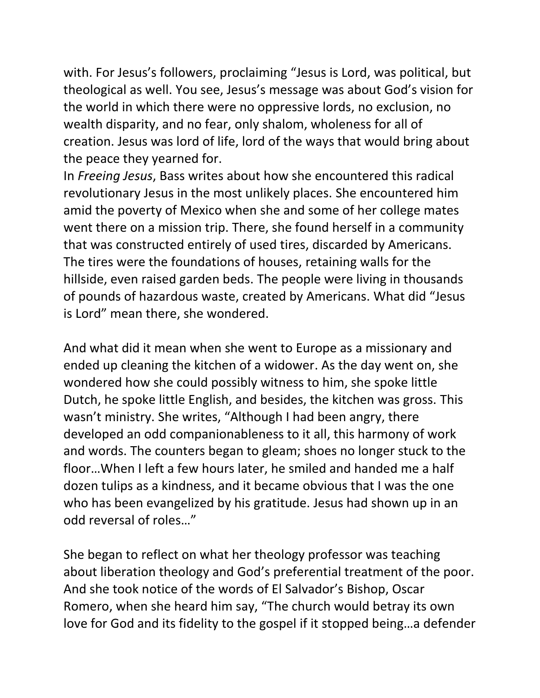with. For Jesus's followers, proclaiming "Jesus is Lord, was political, but theological as well. You see, Jesus's message was about God's vision for the world in which there were no oppressive lords, no exclusion, no wealth disparity, and no fear, only shalom, wholeness for all of creation. Jesus was lord of life, lord of the ways that would bring about the peace they yearned for.

In *Freeing Jesus*, Bass writes about how she encountered this radical revolutionary Jesus in the most unlikely places. She encountered him amid the poverty of Mexico when she and some of her college mates went there on a mission trip. There, she found herself in a community that was constructed entirely of used tires, discarded by Americans. The tires were the foundations of houses, retaining walls for the hillside, even raised garden beds. The people were living in thousands of pounds of hazardous waste, created by Americans. What did "Jesus is Lord" mean there, she wondered.

And what did it mean when she went to Europe as a missionary and ended up cleaning the kitchen of a widower. As the day went on, she wondered how she could possibly witness to him, she spoke little Dutch, he spoke little English, and besides, the kitchen was gross. This wasn't ministry. She writes, "Although I had been angry, there developed an odd companionableness to it all, this harmony of work and words. The counters began to gleam; shoes no longer stuck to the floor…When I left a few hours later, he smiled and handed me a half dozen tulips as a kindness, and it became obvious that I was the one who has been evangelized by his gratitude. Jesus had shown up in an odd reversal of roles…"

She began to reflect on what her theology professor was teaching about liberation theology and God's preferential treatment of the poor. And she took notice of the words of El Salvador's Bishop, Oscar Romero, when she heard him say, "The church would betray its own love for God and its fidelity to the gospel if it stopped being…a defender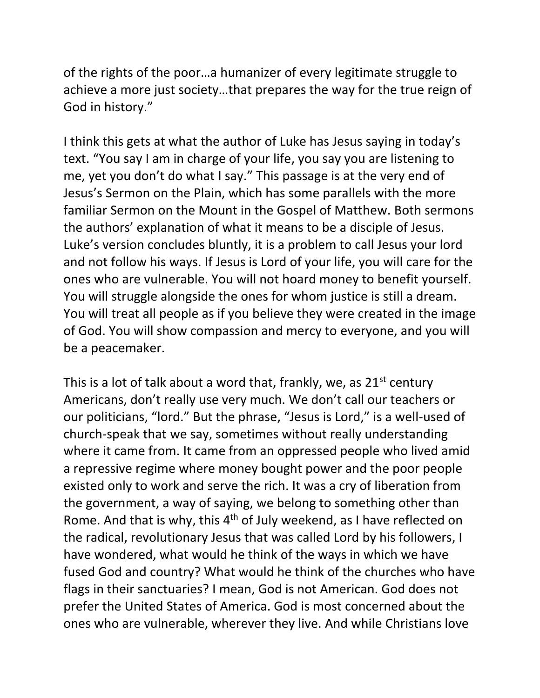of the rights of the poor…a humanizer of every legitimate struggle to achieve a more just society…that prepares the way for the true reign of God in history."

I think this gets at what the author of Luke has Jesus saying in today's text. "You say I am in charge of your life, you say you are listening to me, yet you don't do what I say." This passage is at the very end of Jesus's Sermon on the Plain, which has some parallels with the more familiar Sermon on the Mount in the Gospel of Matthew. Both sermons the authors' explanation of what it means to be a disciple of Jesus. Luke's version concludes bluntly, it is a problem to call Jesus your lord and not follow his ways. If Jesus is Lord of your life, you will care for the ones who are vulnerable. You will not hoard money to benefit yourself. You will struggle alongside the ones for whom justice is still a dream. You will treat all people as if you believe they were created in the image of God. You will show compassion and mercy to everyone, and you will be a peacemaker.

This is a lot of talk about a word that, frankly, we, as  $21^{st}$  century Americans, don't really use very much. We don't call our teachers or our politicians, "lord." But the phrase, "Jesus is Lord," is a well-used of church-speak that we say, sometimes without really understanding where it came from. It came from an oppressed people who lived amid a repressive regime where money bought power and the poor people existed only to work and serve the rich. It was a cry of liberation from the government, a way of saying, we belong to something other than Rome. And that is why, this 4<sup>th</sup> of July weekend, as I have reflected on the radical, revolutionary Jesus that was called Lord by his followers, I have wondered, what would he think of the ways in which we have fused God and country? What would he think of the churches who have flags in their sanctuaries? I mean, God is not American. God does not prefer the United States of America. God is most concerned about the ones who are vulnerable, wherever they live. And while Christians love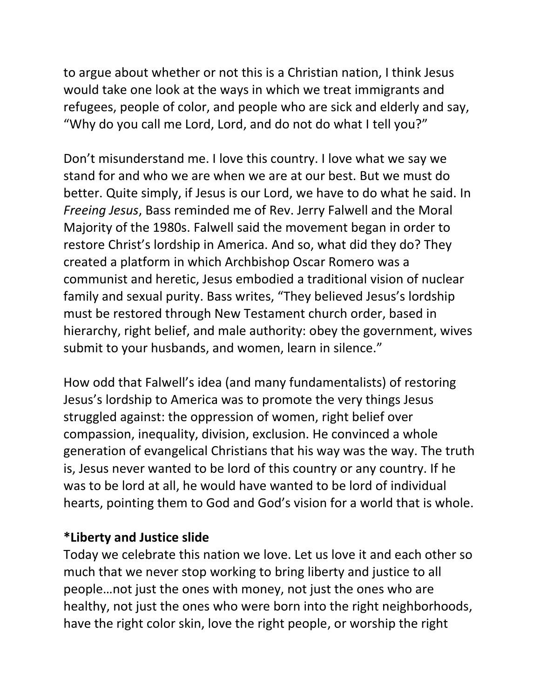to argue about whether or not this is a Christian nation, I think Jesus would take one look at the ways in which we treat immigrants and refugees, people of color, and people who are sick and elderly and say, "Why do you call me Lord, Lord, and do not do what I tell you?"

Don't misunderstand me. I love this country. I love what we say we stand for and who we are when we are at our best. But we must do better. Quite simply, if Jesus is our Lord, we have to do what he said. In *Freeing Jesus*, Bass reminded me of Rev. Jerry Falwell and the Moral Majority of the 1980s. Falwell said the movement began in order to restore Christ's lordship in America. And so, what did they do? They created a platform in which Archbishop Oscar Romero was a communist and heretic, Jesus embodied a traditional vision of nuclear family and sexual purity. Bass writes, "They believed Jesus's lordship must be restored through New Testament church order, based in hierarchy, right belief, and male authority: obey the government, wives submit to your husbands, and women, learn in silence."

How odd that Falwell's idea (and many fundamentalists) of restoring Jesus's lordship to America was to promote the very things Jesus struggled against: the oppression of women, right belief over compassion, inequality, division, exclusion. He convinced a whole generation of evangelical Christians that his way was the way. The truth is, Jesus never wanted to be lord of this country or any country. If he was to be lord at all, he would have wanted to be lord of individual hearts, pointing them to God and God's vision for a world that is whole.

#### **\*Liberty and Justice slide**

Today we celebrate this nation we love. Let us love it and each other so much that we never stop working to bring liberty and justice to all people…not just the ones with money, not just the ones who are healthy, not just the ones who were born into the right neighborhoods, have the right color skin, love the right people, or worship the right